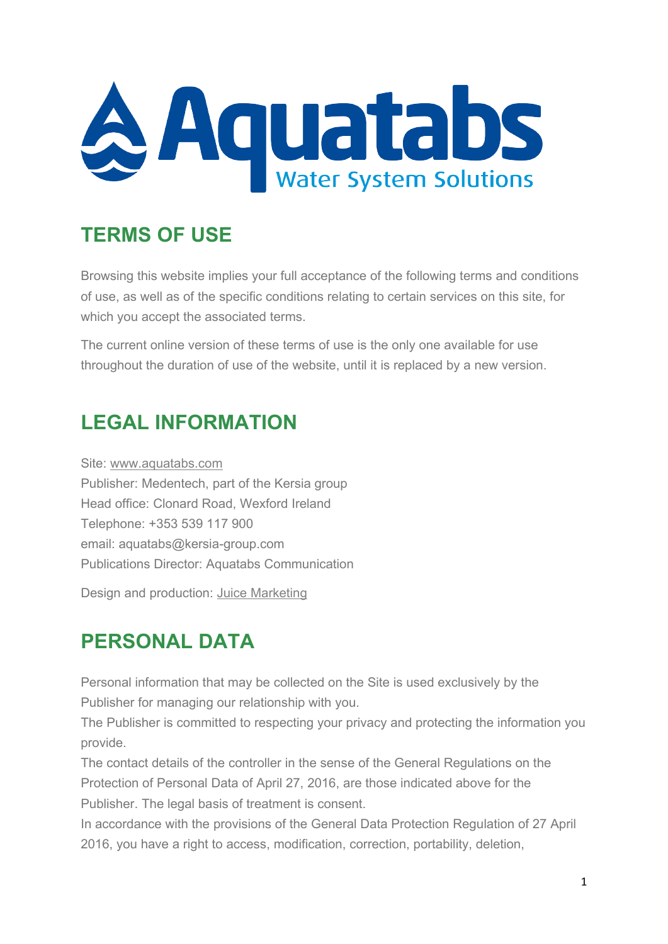

### **TERMS OF USE**

Browsing this website implies your full acceptance of the following terms and conditions of use, as well as of the specific conditions relating to certain services on this site, for which you accept the associated terms.

The current online version of these terms of use is the only one available for use throughout the duration of use of the website, until it is replaced by a new version.

## **LEGAL INFORMATION**

Site: [www.aquatabs.com](http://www.aquatabs.com/) Publisher: Medentech, part of the Kersia group Head office: Clonard Road, Wexford Ireland Telephone: +353 539 117 900 email: aquatabs@kersia-group.com Publications Director: Aquatabs Communication

Design and production: [Juice Marketing](https://www.juicemarketing.ie/)

### **PERSONAL DATA**

Personal information that may be collected on the Site is used exclusively by the Publisher for managing our relationship with you.

The Publisher is committed to respecting your privacy and protecting the information you provide.

The contact details of the controller in the sense of the General Regulations on the Protection of Personal Data of April 27, 2016, are those indicated above for the Publisher. The legal basis of treatment is consent.

In accordance with the provisions of the General Data Protection Regulation of 27 April 2016, you have a right to access, modification, correction, portability, deletion,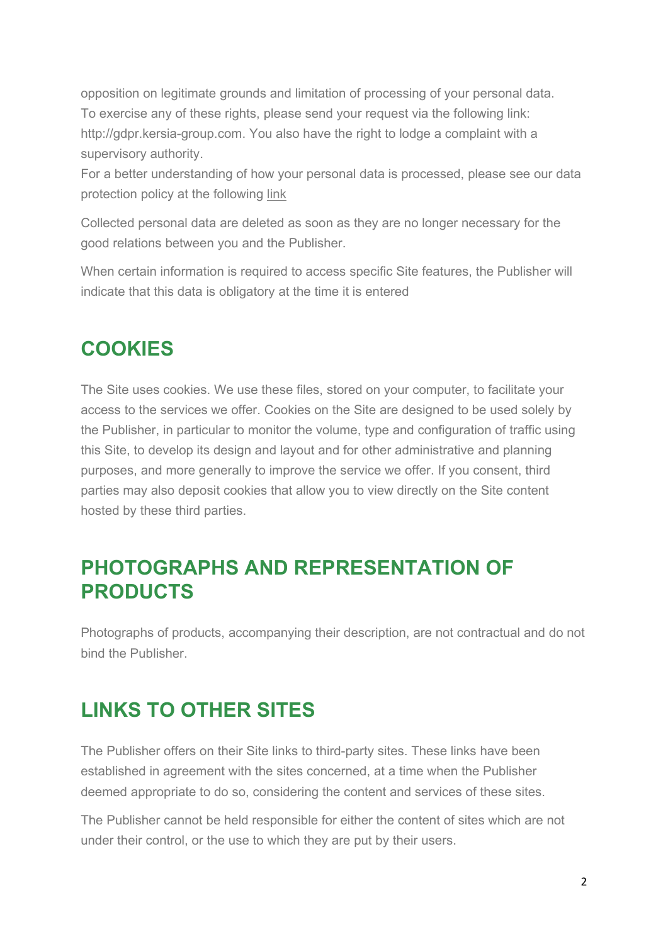opposition on legitimate grounds and limitation of processing of your personal data. To exercise any of these rights, please send your request via the following link: http://gdpr.kersia-group.com. You also have the right to lodge a complaint with a supervisory authority.

For a better understanding of how your personal data is processed, please see our data protection policy at the following [link](http://aqtdev1.com/downloads/Kersia_Group_Personal_data_Protection__Policy.pdf)

Collected personal data are deleted as soon as they are no longer necessary for the good relations between you and the Publisher.

When certain information is required to access specific Site features, the Publisher will indicate that this data is obligatory at the time it is entered

### **COOKIES**

The Site uses cookies. We use these files, stored on your computer, to facilitate your access to the services we offer. Cookies on the Site are designed to be used solely by the Publisher, in particular to monitor the volume, type and configuration of traffic using this Site, to develop its design and layout and for other administrative and planning purposes, and more generally to improve the service we offer. If you consent, third parties may also deposit cookies that allow you to view directly on the Site content hosted by these third parties.

#### **PHOTOGRAPHS AND REPRESENTATION OF PRODUCTS**

Photographs of products, accompanying their description, are not contractual and do not bind the Publisher.

# **LINKS TO OTHER SITES**

The Publisher offers on their Site links to third-party sites. These links have been established in agreement with the sites concerned, at a time when the Publisher deemed appropriate to do so, considering the content and services of these sites.

The Publisher cannot be held responsible for either the content of sites which are not under their control, or the use to which they are put by their users.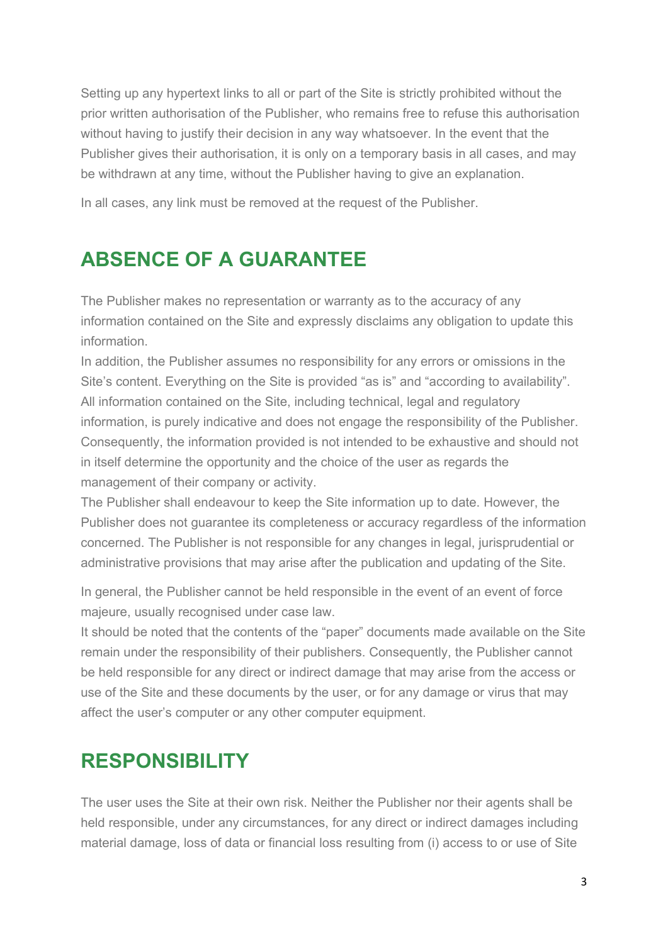Setting up any hypertext links to all or part of the Site is strictly prohibited without the prior written authorisation of the Publisher, who remains free to refuse this authorisation without having to justify their decision in any way whatsoever. In the event that the Publisher gives their authorisation, it is only on a temporary basis in all cases, and may be withdrawn at any time, without the Publisher having to give an explanation.

In all cases, any link must be removed at the request of the Publisher.

# **ABSENCE OF A GUARANTEE**

The Publisher makes no representation or warranty as to the accuracy of any information contained on the Site and expressly disclaims any obligation to update this information.

In addition, the Publisher assumes no responsibility for any errors or omissions in the Site's content. Everything on the Site is provided "as is" and "according to availability". All information contained on the Site, including technical, legal and regulatory information, is purely indicative and does not engage the responsibility of the Publisher. Consequently, the information provided is not intended to be exhaustive and should not in itself determine the opportunity and the choice of the user as regards the management of their company or activity.

The Publisher shall endeavour to keep the Site information up to date. However, the Publisher does not guarantee its completeness or accuracy regardless of the information concerned. The Publisher is not responsible for any changes in legal, jurisprudential or administrative provisions that may arise after the publication and updating of the Site.

In general, the Publisher cannot be held responsible in the event of an event of force majeure, usually recognised under case law.

It should be noted that the contents of the "paper" documents made available on the Site remain under the responsibility of their publishers. Consequently, the Publisher cannot be held responsible for any direct or indirect damage that may arise from the access or use of the Site and these documents by the user, or for any damage or virus that may affect the user's computer or any other computer equipment.

### **RESPONSIBILITY**

The user uses the Site at their own risk. Neither the Publisher nor their agents shall be held responsible, under any circumstances, for any direct or indirect damages including material damage, loss of data or financial loss resulting from (i) access to or use of Site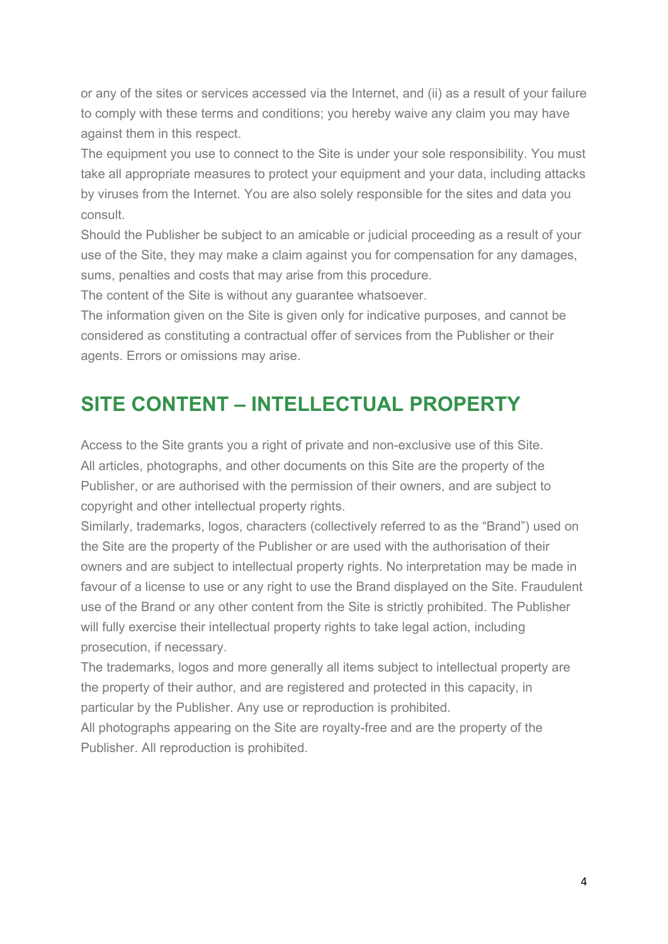or any of the sites or services accessed via the Internet, and (ii) as a result of your failure to comply with these terms and conditions; you hereby waive any claim you may have against them in this respect.

The equipment you use to connect to the Site is under your sole responsibility. You must take all appropriate measures to protect your equipment and your data, including attacks by viruses from the Internet. You are also solely responsible for the sites and data you consult.

Should the Publisher be subject to an amicable or judicial proceeding as a result of your use of the Site, they may make a claim against you for compensation for any damages, sums, penalties and costs that may arise from this procedure.

The content of the Site is without any guarantee whatsoever.

The information given on the Site is given only for indicative purposes, and cannot be considered as constituting a contractual offer of services from the Publisher or their agents. Errors or omissions may arise.

#### **SITE CONTENT – INTELLECTUAL PROPERTY**

Access to the Site grants you a right of private and non-exclusive use of this Site. All articles, photographs, and other documents on this Site are the property of the Publisher, or are authorised with the permission of their owners, and are subject to copyright and other intellectual property rights.

Similarly, trademarks, logos, characters (collectively referred to as the "Brand") used on the Site are the property of the Publisher or are used with the authorisation of their owners and are subject to intellectual property rights. No interpretation may be made in favour of a license to use or any right to use the Brand displayed on the Site. Fraudulent use of the Brand or any other content from the Site is strictly prohibited. The Publisher will fully exercise their intellectual property rights to take legal action, including prosecution, if necessary.

The trademarks, logos and more generally all items subject to intellectual property are the property of their author, and are registered and protected in this capacity, in particular by the Publisher. Any use or reproduction is prohibited.

All photographs appearing on the Site are royalty-free and are the property of the Publisher. All reproduction is prohibited.